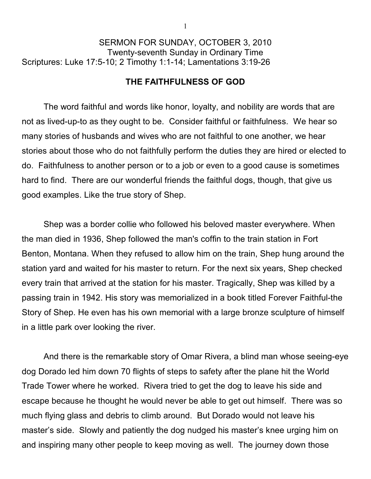## SERMON FOR SUNDAY, OCTOBER 3, 2010 Twenty-seventh Sunday in Ordinary Time Scriptures: Luke 17:5-10; 2 Timothy 1:1-14; Lamentations 3:19-26

## **THE FAITHFULNESS OF GOD**

The word faithful and words like honor, loyalty, and nobility are words that are not as lived-up-to as they ought to be. Consider faithful or faithfulness. We hear so many stories of husbands and wives who are not faithful to one another, we hear stories about those who do not faithfully perform the duties they are hired or elected to do. Faithfulness to another person or to a job or even to a good cause is sometimes hard to find. There are our wonderful friends the faithful dogs, though, that give us good examples. Like the true story of Shep.

Shep was a border collie who followed his beloved master everywhere. When the man died in 1936, Shep followed the man's coffin to the train station in Fort Benton, Montana. When they refused to allow him on the train, Shep hung around the station yard and waited for his master to return. For the next six years, Shep checked every train that arrived at the station for his master. Tragically, Shep was killed by a passing train in 1942. His story was memorialized in a book titled Forever Faithful-the Story of Shep. He even has his own memorial with a large bronze sculpture of himself in a little park over looking the river.

And there is the remarkable story of Omar Rivera, a blind man whose seeing-eye dog Dorado led him down 70 flights of steps to safety after the plane hit the World Trade Tower where he worked. Rivera tried to get the dog to leave his side and escape because he thought he would never be able to get out himself. There was so much flying glass and debris to climb around. But Dorado would not leave his master's side. Slowly and patiently the dog nudged his master's knee urging him on and inspiring many other people to keep moving as well. The journey down those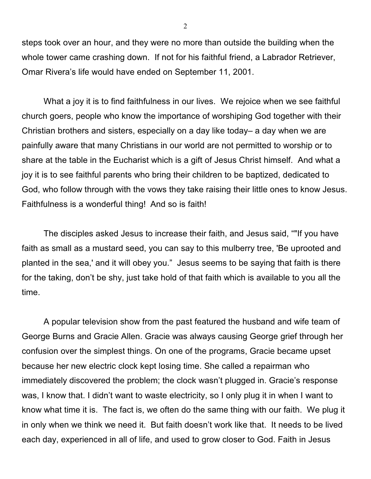steps took over an hour, and they were no more than outside the building when the whole tower came crashing down. If not for his faithful friend, a Labrador Retriever, Omar Rivera's life would have ended on September 11, 2001.

What a joy it is to find faithfulness in our lives. We rejoice when we see faithful church goers, people who know the importance of worshiping God together with their Christian brothers and sisters, especially on a day like today– a day when we are painfully aware that many Christians in our world are not permitted to worship or to share at the table in the Eucharist which is a gift of Jesus Christ himself. And what a joy it is to see faithful parents who bring their children to be baptized, dedicated to God, who follow through with the vows they take raising their little ones to know Jesus. Faithfulness is a wonderful thing! And so is faith!

The disciples asked Jesus to increase their faith, and Jesus said, ""If you have faith as small as a mustard seed, you can say to this mulberry tree, 'Be uprooted and planted in the sea,' and it will obey you." Jesus seems to be saying that faith is there for the taking, don't be shy, just take hold of that faith which is available to you all the time.

A popular television show from the past featured the husband and wife team of George Burns and Gracie Allen. Gracie was always causing George grief through her confusion over the simplest things. On one of the programs, Gracie became upset because her new electric clock kept losing time. She called a repairman who immediately discovered the problem; the clock wasn't plugged in. Gracie's response was, I know that. I didn't want to waste electricity, so I only plug it in when I want to know what time it is. The fact is, we often do the same thing with our faith. We plug it in only when we think we need it. But faith doesn't work like that. It needs to be lived each day, experienced in all of life, and used to grow closer to God. Faith in Jesus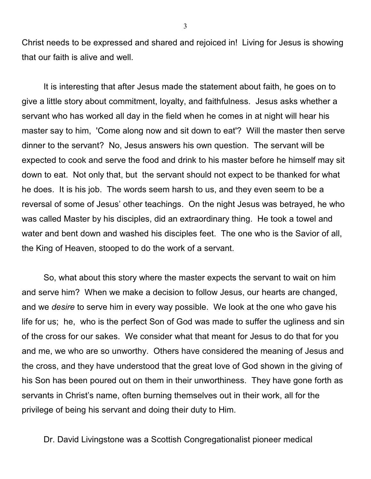Christ needs to be expressed and shared and rejoiced in! Living for Jesus is showing that our faith is alive and well.

It is interesting that after Jesus made the statement about faith, he goes on to give a little story about commitment, loyalty, and faithfulness. Jesus asks whether a servant who has worked all day in the field when he comes in at night will hear his master say to him, 'Come along now and sit down to eat'? Will the master then serve dinner to the servant? No, Jesus answers his own question. The servant will be expected to cook and serve the food and drink to his master before he himself may sit down to eat. Not only that, but the servant should not expect to be thanked for what he does. It is his job. The words seem harsh to us, and they even seem to be a reversal of some of Jesus' other teachings. On the night Jesus was betrayed, he who was called Master by his disciples, did an extraordinary thing. He took a towel and water and bent down and washed his disciples feet. The one who is the Savior of all, the King of Heaven, stooped to do the work of a servant.

So, what about this story where the master expects the servant to wait on him and serve him? When we make a decision to follow Jesus, our hearts are changed, and we *desire* to serve him in every way possible. We look at the one who gave his life for us; he, who is the perfect Son of God was made to suffer the ugliness and sin of the cross for our sakes. We consider what that meant for Jesus to do that for you and me, we who are so unworthy. Others have considered the meaning of Jesus and the cross, and they have understood that the great love of God shown in the giving of his Son has been poured out on them in their unworthiness. They have gone forth as servants in Christ's name, often burning themselves out in their work, all for the privilege of being his servant and doing their duty to Him.

Dr. David Livingstone was a Scottish Congregationalist pioneer medical

3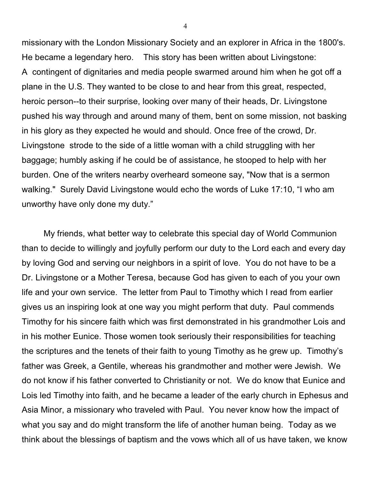missionary with the London Missionary Society and an explorer in Africa in the 1800's. He became a legendary hero. This story has been written about Livingstone: A contingent of dignitaries and media people swarmed around him when he got off a plane in the U.S. They wanted to be close to and hear from this great, respected, heroic person--to their surprise, looking over many of their heads, Dr. Livingstone pushed his way through and around many of them, bent on some mission, not basking in his glory as they expected he would and should. Once free of the crowd, Dr. Livingstone strode to the side of a little woman with a child struggling with her baggage; humbly asking if he could be of assistance, he stooped to help with her burden. One of the writers nearby overheard someone say, "Now that is a sermon walking." Surely David Livingstone would echo the words of Luke 17:10, "I who am unworthy have only done my duty."

My friends, what better way to celebrate this special day of World Communion than to decide to willingly and joyfully perform our duty to the Lord each and every day by loving God and serving our neighbors in a spirit of love. You do not have to be a Dr. Livingstone or a Mother Teresa, because God has given to each of you your own life and your own service. The letter from Paul to Timothy which I read from earlier gives us an inspiring look at one way you might perform that duty. Paul commends Timothy for his sincere faith which was first demonstrated in his grandmother Lois and in his mother Eunice. Those women took seriously their responsibilities for teaching the scriptures and the tenets of their faith to young Timothy as he grew up. Timothy's father was Greek, a Gentile, whereas his grandmother and mother were Jewish. We do not know if his father converted to Christianity or not. We do know that Eunice and Lois led Timothy into faith, and he became a leader of the early church in Ephesus and Asia Minor, a missionary who traveled with Paul. You never know how the impact of what you say and do might transform the life of another human being. Today as we think about the blessings of baptism and the vows which all of us have taken, we know

4